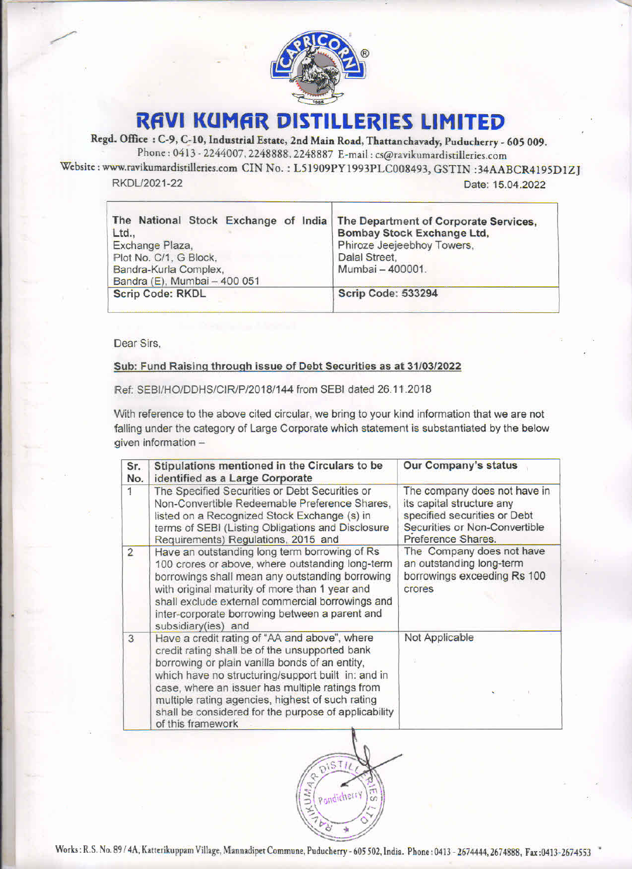

## RAVI KUMAR DISTILLERIES LIMITED

Regd. Office : C-9, C-10, Industrial Estate, 2nd Main Road, Thattanchavady, Puducherry - <sup>605</sup> 009. Phone : <sup>0413</sup> - 2244007, 2248888, <sup>2248887</sup> E-mail : cs@ravikumardistilleries.com

Website : www.ravikumardistilleries.com CIN No. : L51909PY1993PLC008493, GSTIN :34AABCR4195D1ZJ RAVI KUMAR DISTILLERIES LIMITED RKDL/2021-22 Date: 15.04.2022

|                                               | RAVI KUMAR DISTILLERIES LIMITED<br>d. Office : C-9, C-10, Industrial Estate, 2nd Main Road, Thattanchavady, Puducherry - 605 009.                                  |                                                                            |                                                                                     |  |
|-----------------------------------------------|--------------------------------------------------------------------------------------------------------------------------------------------------------------------|----------------------------------------------------------------------------|-------------------------------------------------------------------------------------|--|
|                                               | Phone: 0413 - 2244007, 2248888, 2248887 E-mail: cs@ravikumardistilleries.com<br>www.ravikumardistilleries.com CIN No. : L51909PY1993PLC008493, GSTIN :34AABCR4195D |                                                                            |                                                                                     |  |
|                                               | RKDL/2021-22                                                                                                                                                       |                                                                            | Date: 15.04.2022                                                                    |  |
| The National Stock Exchange of India<br>Ltd., |                                                                                                                                                                    | The Department of Corporate Services,<br><b>Bombay Stock Exchange Ltd,</b> |                                                                                     |  |
|                                               | Exchange Plaza,<br>Plot No. C/1, G Block,                                                                                                                          |                                                                            | Phiroze Jeejeebhoy Towers,<br>Dalal Street,                                         |  |
|                                               | Bandra-Kurla Complex,<br>Bandra (E), Mumbai - 400 051<br><b>Scrip Code: RKDL</b>                                                                                   |                                                                            | Mumbai - 400001.<br><b>Scrip Code: 533294</b>                                       |  |
|                                               |                                                                                                                                                                    |                                                                            |                                                                                     |  |
| Dear Sirs,                                    |                                                                                                                                                                    |                                                                            |                                                                                     |  |
|                                               | Sub: Fund Raising through issue of Debt Securities as at 31/03/2022                                                                                                |                                                                            |                                                                                     |  |
|                                               | Ref: SEBI/HO/DDHS/CIR/P/2018/144 from SEBI dated 26.11.2018<br>With reference to the above cited circular, we bring to your kind information that we are not       |                                                                            |                                                                                     |  |
|                                               | falling under the category of Large Corporate which statement is substantiated by the below<br>given information -                                                 |                                                                            |                                                                                     |  |
| Sr.<br>No.                                    | Stipulations mentioned in the Circulars to be                                                                                                                      |                                                                            | Our Company's status                                                                |  |
| 1                                             | identified as a Large Corporate<br>The Specified Securities or Debt Securities or<br>Non-Convertible Redeemable Preference Shares,                                 |                                                                            | The company does not have in<br>its capital structure any                           |  |
|                                               | listed on a Recognized Stock Exchange (s) in<br>terms of SEBI (Listing Obligations and Disclosure                                                                  |                                                                            | specified securities or Debt<br>Securities or Non-Convertible<br>Preference Shares. |  |
|                                               | Requirements) Regulations, 2015 and                                                                                                                                |                                                                            |                                                                                     |  |

<u> Album and Album and Album and Album and Album and Album and Album and Album and Album and Album and Album and Album and Album and Album and Album and Album and Album and Album and Album and Album and Album and Album and </u>

## Sub: Fund Raising through issue of Debt Securities as at 31/03/2022

| td.,           | RAVI KUMAR DISTILLERIES LIMITED<br>Office : C-9, C-10, Industrial Estate, 2nd Main Road, Thattanchavady, Puducherry - 605 009.<br>Phone: 0413 - 2244007, 2248888, 2248887 E-mail: cs@ravikumardistilleries.com<br>w.ravikumardistilleries.com CIN No.: L51909PY1993PLC008493, GSTIN:34AABCR4195D<br>KDL/2021-22<br>he National Stock Exchange of India The Department of Corporate Services,<br>xchange Plaza,<br>lot No. C/1, G Block,<br>Bandra-Kurla Complex,<br>Bandra (E), Mumbai - 400 051 | Dalal Street,<br>Mumbai - 400001. | Date: 15.04.2022<br><b>Bombay Stock Exchange Ltd,</b><br>Phiroze Jeejeebhoy Towers,                                                              |
|----------------|--------------------------------------------------------------------------------------------------------------------------------------------------------------------------------------------------------------------------------------------------------------------------------------------------------------------------------------------------------------------------------------------------------------------------------------------------------------------------------------------------|-----------------------------------|--------------------------------------------------------------------------------------------------------------------------------------------------|
|                | <b>Scrip Code: RKDL</b>                                                                                                                                                                                                                                                                                                                                                                                                                                                                          | <b>Scrip Code: 533294</b>         |                                                                                                                                                  |
|                |                                                                                                                                                                                                                                                                                                                                                                                                                                                                                                  |                                   |                                                                                                                                                  |
| ear Sirs,      | Sub: Fund Raising through issue of Debt Securities as at 31/03/2022<br>Ref: SEBI/HO/DDHS/CIR/P/2018/144 from SEBI dated 26.11.2018<br>Vith reference to the above cited circular, we bring to your kind information that we are not<br>alling under the category of Large Corporate which statement is substantiated by the below<br>iven information -                                                                                                                                          |                                   |                                                                                                                                                  |
| Sr.            | Stipulations mentioned in the Circulars to be                                                                                                                                                                                                                                                                                                                                                                                                                                                    |                                   | Our Company's status                                                                                                                             |
| No.<br>1       | identified as a Large Corporate<br>The Specified Securities or Debt Securities or<br>Non-Convertible Redeemable Preference Shares,<br>listed on a Recognized Stock Exchange (s) in<br>terms of SEBI (Listing Obligations and Disclosure                                                                                                                                                                                                                                                          |                                   | The company does not have in<br>its capital structure any<br>specified securities or Debt<br>Securities or Non-Convertible<br>Preference Shares. |
| $\overline{2}$ | Requirements) Regulations, 2015 and<br>Have an outstanding long term borrowing of Rs<br>100 crores or above, where outstanding long-term<br>borrowings shall mean any outstanding borrowing<br>with original maturity of more than 1 year and<br>shall exclude external commercial borrowings and<br>inter-corporate borrowing between a parent and                                                                                                                                              |                                   | The Company does not have<br>an outstanding long-term<br>borrowings exceeding Rs 100<br>crores                                                   |
| $\mathbf{3}$   | subsidiary(ies) and<br>Have a credit rating of "AA and above", where<br>credit rating shall be of the unsupported bank<br>borrowing or plain vanilla bonds of an entity,<br>which have no structuring/support built in: and in<br>case, where an issuer has multiple ratings from<br>multiple rating agencies, highest of such rating<br>shall be considered for the purpose of applicability<br>of this framework                                                                               |                                   | Not Applicable                                                                                                                                   |